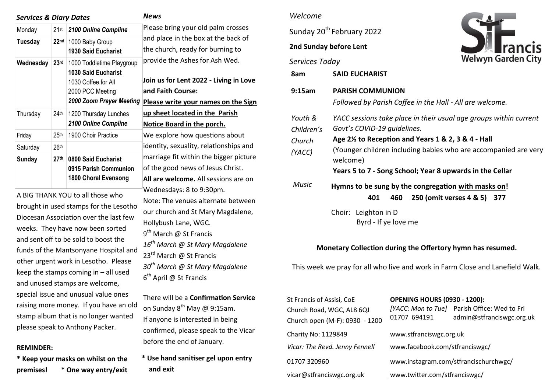| <b>Services &amp; Diary Dates</b> |                  |                                                                                                                                | <b>News</b>                                                                                                                                 |  |
|-----------------------------------|------------------|--------------------------------------------------------------------------------------------------------------------------------|---------------------------------------------------------------------------------------------------------------------------------------------|--|
| Monday                            | $21$ st          | 2100 Online Compline                                                                                                           | Please bring your old palm crosses<br>and place in the box at the back of<br>the church, ready for burning to                               |  |
| <b>Tuesday</b>                    | 22 <sub>nd</sub> | 1000 Baby Group<br><b>1930 Said Eucharist</b>                                                                                  |                                                                                                                                             |  |
| Wednesday                         | 23 <sup>rd</sup> | 1000 Toddletime Playgroup<br><b>1030 Said Eucharist</b><br>1030 Coffee for All<br>2000 PCC Meeting<br>2000 Zoom Prayer Meeting | provide the Ashes for Ash Wed.<br>Join us for Lent 2022 - Living in Love<br>and Faith Course:<br><b>Please write your names on the Sign</b> |  |
| Thursday                          | 24 <sup>th</sup> | 1200 Thursday Lunches<br>2100 Online Compline                                                                                  | up sheet located in the Parish<br><b>Notice Board in the porch.</b>                                                                         |  |
| Friday                            | 25 <sup>th</sup> | 1900 Choir Practice                                                                                                            | We explore how questions about                                                                                                              |  |
| Saturday                          | 26 <sup>th</sup> |                                                                                                                                | identity, sexuality, relationships and                                                                                                      |  |
| <b>Sunday</b>                     | 27 <sup>th</sup> | 0800 Said Eucharist<br>0915 Parish Communion<br>1800 Choral Evensong                                                           | marriage fit within the bigger picture<br>of the good news of Jesus Christ.<br>All are welcome. All sessions are on                         |  |
|                                   |                  | A BIG THANK YOU to all those who<br>brought in used stamps for the Lesotho                                                     | Wednesdays: 8 to 9:30pm.<br>Note: The venues alternate between<br>our church and St Mary Magdalene,                                         |  |

Hollybush Lane, WGC. 9<sup>th</sup> March @ St Francis

23<sup>rd</sup> March @ St Francis

6<sup>th</sup> April @ St Francis

*16th March @ St Mary Magdalene* 

*30th March @ St Mary Magdalene* 

There will be a **Confirmation Service** 

confirmed, please speak to the Vicar

**\* Use hand sanitiser gel upon entry** 

on Sunday  $8^{th}$  May @ 9:15am. If anyone is interested in being

before the end of January.

**and exit** 

brought in used stamps for the Lesotho Diocesan Association over the last few weeks. They have now been sorted and sent off to be sold to boost the funds of the Mantsonyane Hospital and other urgent work in Lesotho. Please keep the stamps coming in – all used and unused stamps are welcome, special issue and unusual value ones raising more money. If you have an old stamp album that is no longer wanted please speak to Anthony Packer.

#### **REMINDER:**

**\* Keep your masks on whilst on the premises! \* One way entry/exit** 

#### *Welcome*

Sunday 20<sup>th</sup> February 2022

## **2nd Sunday before Lent**



|                                           | Zilu Sunday belore Lent                                                                                                                                                                                                                                                                                        | <b>E</b> Tancis             |  |  |  |  |
|-------------------------------------------|----------------------------------------------------------------------------------------------------------------------------------------------------------------------------------------------------------------------------------------------------------------------------------------------------------------|-----------------------------|--|--|--|--|
| Services Today                            |                                                                                                                                                                                                                                                                                                                | <b>Welwyn Garden City</b>   |  |  |  |  |
| 8am                                       | <b>SAID EUCHARIST</b>                                                                                                                                                                                                                                                                                          |                             |  |  |  |  |
| 9:15am                                    | <b>PARISH COMMUNION</b><br>Followed by Parish Coffee in the Hall - All are welcome.                                                                                                                                                                                                                            |                             |  |  |  |  |
| Youth &<br>Children's<br>Church<br>(YACC) | YACC sessions take place in their usual age groups within current<br>Govt's COVID-19 guidelines.<br>Age 2 <sup>1/2</sup> to Reception and Years 1 & 2, 3 & 4 - Hall<br>(Younger children including babies who are accompanied are very<br>welcome)<br>Years 5 to 7 - Song School; Year 8 upwards in the Cellar |                             |  |  |  |  |
| <b>Music</b>                              | Hymns to be sung by the congregation with masks on!<br>401<br>460                                                                                                                                                                                                                                              | 250 (omit verses 4 & 5) 377 |  |  |  |  |
|                                           | Choir: Leighton in D<br>Byrd - If ye love me                                                                                                                                                                                                                                                                   |                             |  |  |  |  |

### **Monetary Collection during the Offertory hymn has resumed.**

This week we pray for all who live and work in Farm Close and Lanefield Walk.

| St Francis of Assisi, CoE      | <b>OPENING HOURS (0930 - 1200):</b>   |                                              |  |
|--------------------------------|---------------------------------------|----------------------------------------------|--|
| Church Road, WGC, AL8 6QJ      |                                       | [YACC: Mon to Tue] Parish Office: Wed to Fri |  |
| Church open (M-F): 0930 - 1200 | 01707 694191                          | admin@stfranciswgc.org.uk                    |  |
| Charity No: 1129849            | www.stfranciswgc.org.uk               |                                              |  |
| Vicar: The Revd. Jenny Fennell | www.facebook.com/stfranciswgc/        |                                              |  |
| 01707 320960                   | www.instagram.com/stfrancischurchwgc/ |                                              |  |
| vicar@stfranciswgc.org.uk      | www.twitter.com/stfranciswgc/         |                                              |  |